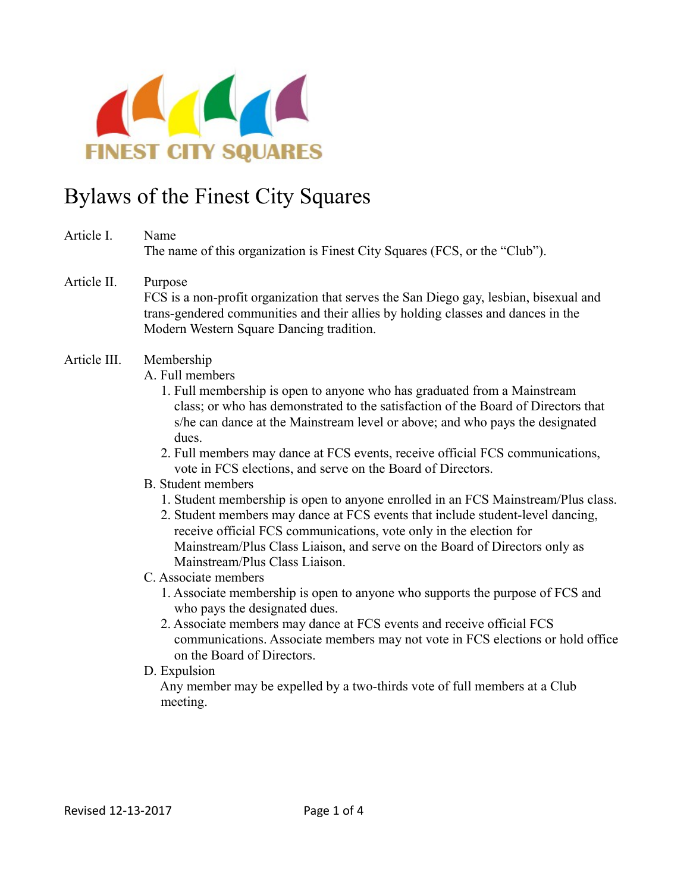

# Bylaws of the Finest City Squares

- Article I. Name The name of this organization is Finest City Squares (FCS, or the "Club").
- Article II. Purpose FCS is a non-profit organization that serves the San Diego gay, lesbian, bisexual and trans-gendered communities and their allies by holding classes and dances in the Modern Western Square Dancing tradition.
- Article III. Membership
	- A. Full members
		- 1. Full membership is open to anyone who has graduated from a Mainstream class; or who has demonstrated to the satisfaction of the Board of Directors that s/he can dance at the Mainstream level or above; and who pays the designated dues.
		- 2. Full members may dance at FCS events, receive official FCS communications, vote in FCS elections, and serve on the Board of Directors.
	- B. Student members
		- 1. Student membership is open to anyone enrolled in an FCS Mainstream/Plus class.
		- 2. Student members may dance at FCS events that include student-level dancing, receive official FCS communications, vote only in the election for Mainstream/Plus Class Liaison, and serve on the Board of Directors only as Mainstream/Plus Class Liaison.
	- C. Associate members
		- 1. Associate membership is open to anyone who supports the purpose of FCS and who pays the designated dues.
		- 2. Associate members may dance at FCS events and receive official FCS communications. Associate members may not vote in FCS elections or hold office on the Board of Directors.
	- D. Expulsion

 Any member may be expelled by a two-thirds vote of full members at a Club meeting.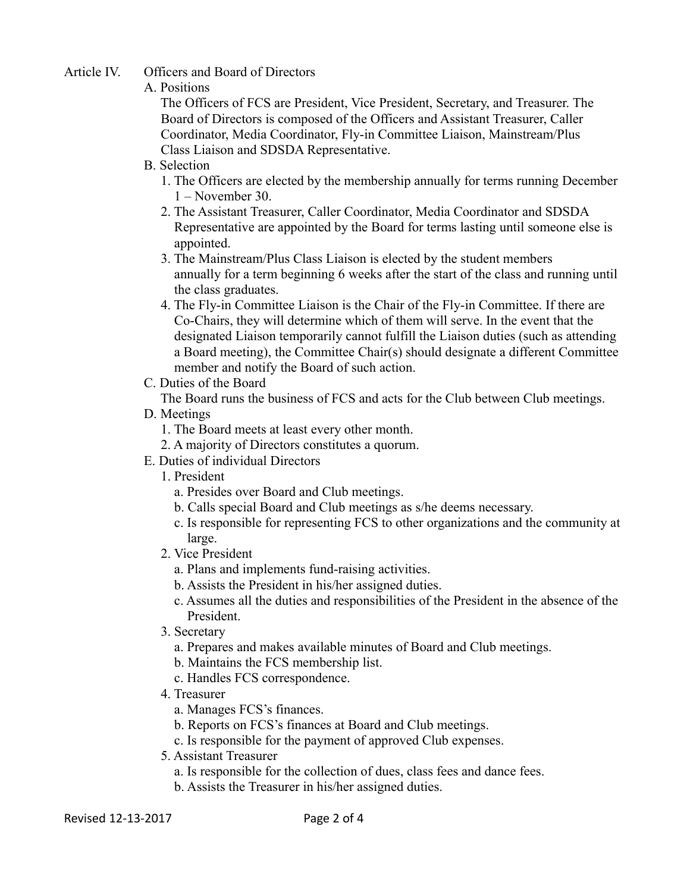## Article IV. Officers and Board of Directors

#### A. Positions

 The Officers of FCS are President, Vice President, Secretary, and Treasurer. The Board of Directors is composed of the Officers and Assistant Treasurer, Caller Coordinator, Media Coordinator, Fly-in Committee Liaison, Mainstream/Plus Class Liaison and SDSDA Representative.

- B. Selection
	- 1. The Officers are elected by the membership annually for terms running December 1 – November 30.
	- 2. The Assistant Treasurer, Caller Coordinator, Media Coordinator and SDSDA Representative are appointed by the Board for terms lasting until someone else is appointed.
	- 3. The Mainstream/Plus Class Liaison is elected by the student members annually for a term beginning 6 weeks after the start of the class and running until the class graduates.
	- 4. The Fly-in Committee Liaison is the Chair of the Fly-in Committee. If there are Co-Chairs, they will determine which of them will serve. In the event that the designated Liaison temporarily cannot fulfill the Liaison duties (such as attending a Board meeting), the Committee Chair(s) should designate a different Committee member and notify the Board of such action.
- C. Duties of the Board

The Board runs the business of FCS and acts for the Club between Club meetings.

- D. Meetings
	- 1. The Board meets at least every other month.
	- 2. A majority of Directors constitutes a quorum.
- E. Duties of individual Directors
	- 1. President
		- a. Presides over Board and Club meetings.
		- b. Calls special Board and Club meetings as s/he deems necessary.
		- c. Is responsible for representing FCS to other organizations and the community at large.
	- 2. Vice President
		- a. Plans and implements fund-raising activities.
		- b. Assists the President in his/her assigned duties.
		- c. Assumes all the duties and responsibilities of the President in the absence of the President.
	- 3. Secretary
		- a. Prepares and makes available minutes of Board and Club meetings.
		- b. Maintains the FCS membership list.
		- c. Handles FCS correspondence.
	- 4. Treasurer
		- a. Manages FCS's finances.
		- b. Reports on FCS's finances at Board and Club meetings.
		- c. Is responsible for the payment of approved Club expenses.
	- 5. Assistant Treasurer
		- a. Is responsible for the collection of dues, class fees and dance fees.
		- b. Assists the Treasurer in his/her assigned duties.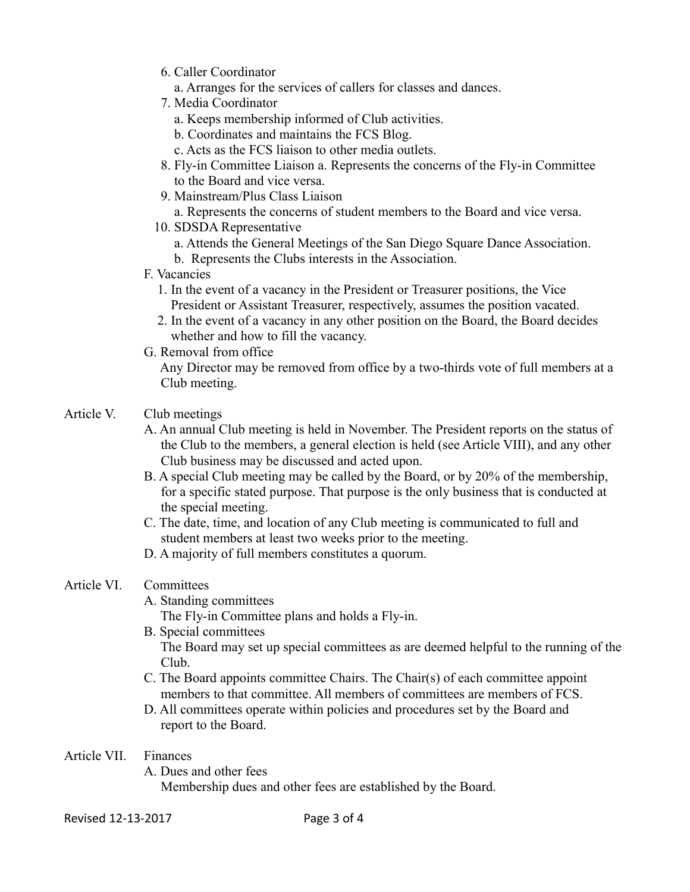- 6. Caller Coordinator
	- a. Arranges for the services of callers for classes and dances.
- 7. Media Coordinator
	- a. Keeps membership informed of Club activities.
	- b. Coordinates and maintains the FCS Blog.
	- c. Acts as the FCS liaison to other media outlets.
- 8. Fly-in Committee Liaison a. Represents the concerns of the Fly-in Committee to the Board and vice versa.
- 9. Mainstream/Plus Class Liaison
	- a. Represents the concerns of student members to the Board and vice versa.
- 10. SDSDA Representative
	- a. Attends the General Meetings of the San Diego Square Dance Association.
	- b. Represents the Clubs interests in the Association.
- F. Vacancies
	- 1. In the event of a vacancy in the President or Treasurer positions, the Vice President or Assistant Treasurer, respectively, assumes the position vacated.
	- 2. In the event of a vacancy in any other position on the Board, the Board decides whether and how to fill the vacancy.
- G. Removal from office

 Any Director may be removed from office by a two-thirds vote of full members at a Club meeting.

- Article V. Club meetings
	- A. An annual Club meeting is held in November. The President reports on the status of the Club to the members, a general election is held (see Article VIII), and any other Club business may be discussed and acted upon.
	- B. A special Club meeting may be called by the Board, or by 20% of the membership, for a specific stated purpose. That purpose is the only business that is conducted at the special meeting.
	- C. The date, time, and location of any Club meeting is communicated to full and student members at least two weeks prior to the meeting.
	- D. A majority of full members constitutes a quorum.
- Article VI. Committees
	- A. Standing committees

The Fly-in Committee plans and holds a Fly-in.

- B. Special committees The Board may set up special committees as are deemed helpful to the running of the Club.
- C. The Board appoints committee Chairs. The Chair(s) of each committee appoint members to that committee. All members of committees are members of FCS.
- D. All committees operate within policies and procedures set by the Board and report to the Board.
- Article VII. Finances
	- A. Dues and other fees

Membership dues and other fees are established by the Board.

Revised 12-13-2017 Page 3 of 4